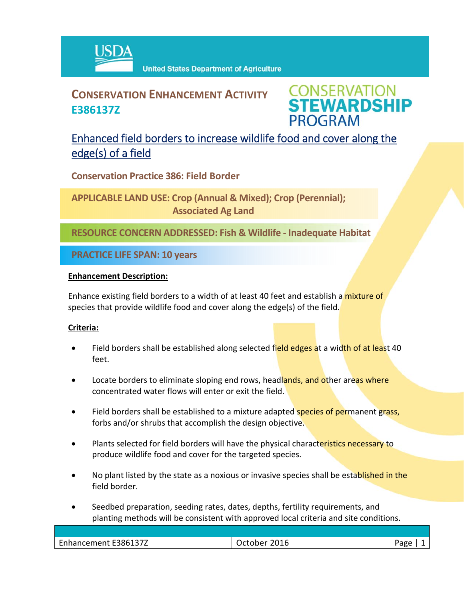

## **CONSERVATION ENHANCEMENT ACTIVITY E386137Z**

**CONSERVATION<br>STEWARDSHIP PROGRAM** 

## Enhanced field borders to increase wildlife food and cover along the edge(s) of a field

**Conservation Practice 386: Field Border**

**APPLICABLE LAND USE: Crop (Annual & Mixed); Crop (Perennial); Associated Ag Land**

**RESOURCE CONCERN ADDRESSED: Fish & Wildlife ‐ Inadequate Habitat**

**PRACTICE LIFE SPAN: 10 years**

#### **Enhancement Description:**

Enhance existing field borders to a width of at least 40 feet and establish a mixture of species that provide wildlife food and cover along the edge(s) of the field.

### **Criteria:**

- Field borders shall be established along selected field edges at a width of at least 40 feet.
- Locate borders to eliminate sloping end rows, headlands, and other areas where concentrated water flows will enter or exit the field.
- Field borders shall be established to a mixture adapted species of permanent grass, forbs and/or shrubs that accomplish the design objective.
- Plants selected for field borders will have the physical characteristics necessary to produce wildlife food and cover for the targeted species.
- No plant listed by the state as a noxious or invasive species shall be established in the field border.
- Seedbed preparation, seeding rates, dates, depths, fertility requirements, and planting methods will be consistent with approved local criteria and site conditions.

| E386137Z<br>$\overline{\phantom{0}}$<br>$      -$<br>Ennancement | 301C<br>Ιſ<br>:UIb | age<br> |
|------------------------------------------------------------------|--------------------|---------|
|                                                                  |                    |         |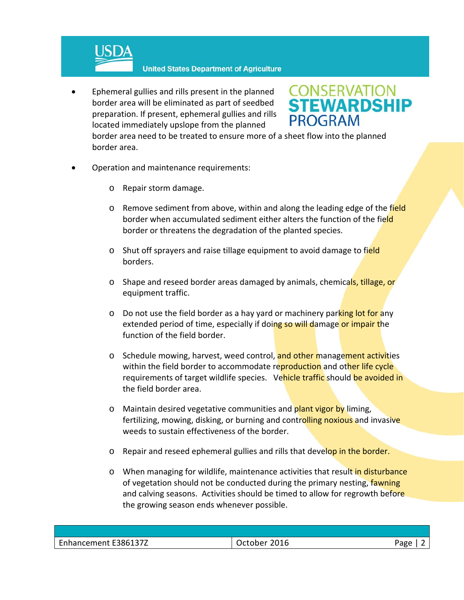

 Ephemeral gullies and rills present in the planned border area will be eliminated as part of seedbed preparation. If present, ephemeral gullies and rills located immediately upslope from the planned

# **CONSERVATION<br>STEWARDSHIP PROGRAM**

border area need to be treated to ensure more of a sheet flow into the planned border area.

- Operation and maintenance requirements:
	- o Repair storm damage.
	- o Remove sediment from above, within and along the leading edge of the field border when accumulated sediment either alters the function of the field border or threatens the degradation of the planted species.
	- o Shut off sprayers and raise tillage equipment to avoid damage to field borders.
	- o Shape and reseed border areas damaged by animals, chemicals, tillage, or equipment traffic.
	- $\circ$  Do not use the field border as a hay yard or machinery parking lot for any extended period of time, especially if doing so will damage or impair the function of the field border.
	- o Schedule mowing, harvest, weed control, and other management activities within the field border to accommodate reproduction and other life cycle requirements of target wildlife species. Vehicle traffic should be avoided in the field border area.
	- o Maintain desired vegetative communities and plant vigor by liming, fertilizing, mowing, disking, or burning and controlling noxious and invasive weeds to sustain effectiveness of the border.
	- o Repair and reseed ephemeral gullies and rills that develop in the border.
	- o When managing for wildlife, maintenance activities that result in disturbance of vegetation should not be conducted during the primary nesting, fawning and calving seasons. Activities should be timed to allow for regrowth before the growing season ends whenever possible.

| Enhancement E386137Z | 2016<br>October | aoc |
|----------------------|-----------------|-----|